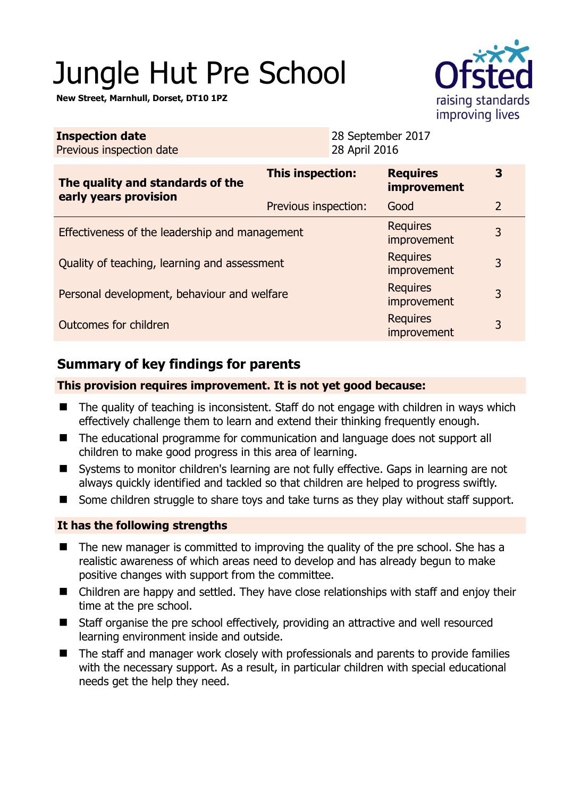# Jungle Hut Pre School

**New Street, Marnhull, Dorset, DT10 1PZ** 



| <b>Inspection date</b><br>Previous inspection date        |                         | 28 September 2017<br>28 April 2016 |                                       |                |
|-----------------------------------------------------------|-------------------------|------------------------------------|---------------------------------------|----------------|
| The quality and standards of the<br>early years provision | <b>This inspection:</b> |                                    | <b>Requires</b><br><i>improvement</i> | 3              |
|                                                           | Previous inspection:    |                                    | Good                                  | $\overline{2}$ |
| Effectiveness of the leadership and management            |                         |                                    | <b>Requires</b><br>improvement        | 3              |
| Quality of teaching, learning and assessment              |                         |                                    | <b>Requires</b><br>improvement        | 3              |
| Personal development, behaviour and welfare               |                         |                                    | <b>Requires</b><br>improvement        | 3              |
| Outcomes for children                                     |                         |                                    | <b>Requires</b><br>improvement        | 3              |

# **Summary of key findings for parents**

## **This provision requires improvement. It is not yet good because:**

- The quality of teaching is inconsistent. Staff do not engage with children in ways which effectively challenge them to learn and extend their thinking frequently enough.
- The educational programme for communication and language does not support all children to make good progress in this area of learning.
- Systems to monitor children's learning are not fully effective. Gaps in learning are not always quickly identified and tackled so that children are helped to progress swiftly.
- Some children struggle to share toys and take turns as they play without staff support.

## **It has the following strengths**

- The new manager is committed to improving the quality of the pre school. She has a realistic awareness of which areas need to develop and has already begun to make positive changes with support from the committee.
- Children are happy and settled. They have close relationships with staff and enjoy their time at the pre school.
- Staff organise the pre school effectively, providing an attractive and well resourced learning environment inside and outside.
- The staff and manager work closely with professionals and parents to provide families with the necessary support. As a result, in particular children with special educational needs get the help they need.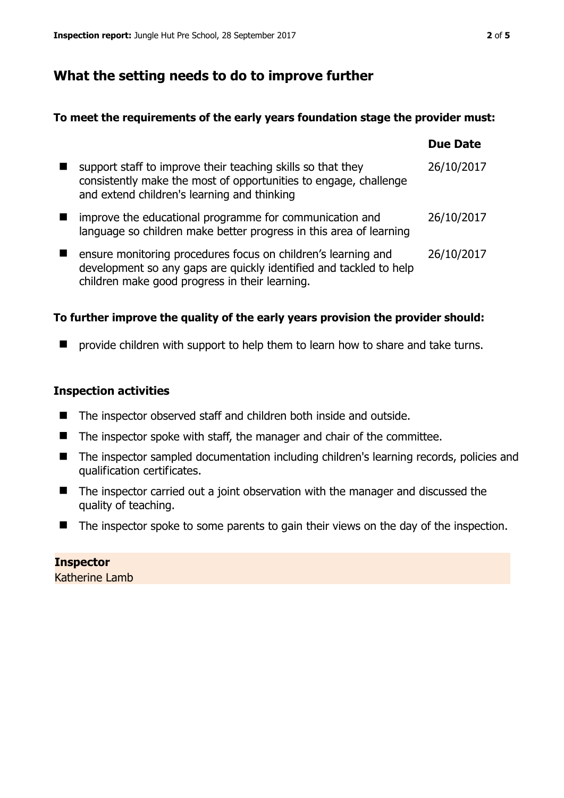# **What the setting needs to do to improve further**

### **To meet the requirements of the early years foundation stage the provider must:**

|                                                                                                                                                                                       | <b>Due Date</b> |
|---------------------------------------------------------------------------------------------------------------------------------------------------------------------------------------|-----------------|
| support staff to improve their teaching skills so that they<br>consistently make the most of opportunities to engage, challenge<br>and extend children's learning and thinking        | 26/10/2017      |
| improve the educational programme for communication and<br>language so children make better progress in this area of learning                                                         | 26/10/2017      |
| ensure monitoring procedures focus on children's learning and<br>development so any gaps are quickly identified and tackled to help<br>children make good progress in their learning. | 26/10/2017      |

## **To further improve the quality of the early years provision the provider should:**

**P** provide children with support to help them to learn how to share and take turns.

#### **Inspection activities**

- The inspector observed staff and children both inside and outside.
- The inspector spoke with staff, the manager and chair of the committee.
- The inspector sampled documentation including children's learning records, policies and qualification certificates.
- The inspector carried out a joint observation with the manager and discussed the quality of teaching.
- The inspector spoke to some parents to gain their views on the day of the inspection.

**Inspector**  Katherine Lamb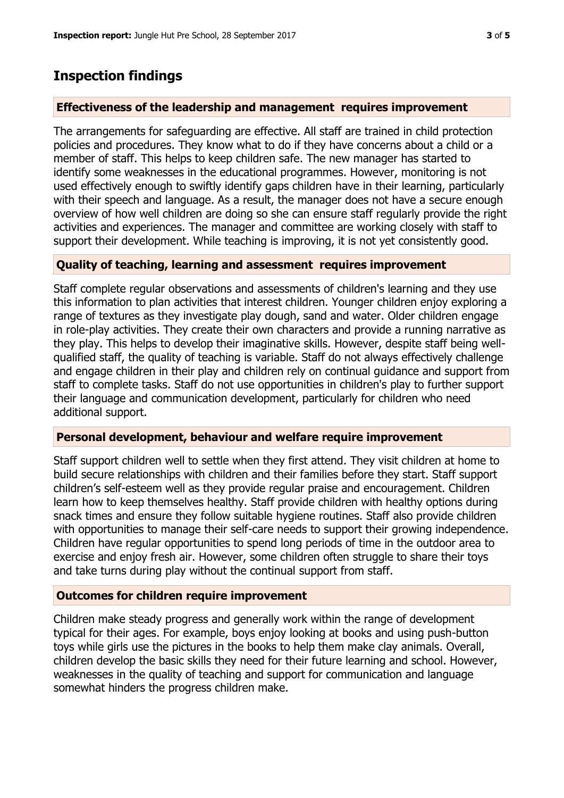# **Inspection findings**

#### **Effectiveness of the leadership and management requires improvement**

The arrangements for safeguarding are effective. All staff are trained in child protection policies and procedures. They know what to do if they have concerns about a child or a member of staff. This helps to keep children safe. The new manager has started to identify some weaknesses in the educational programmes. However, monitoring is not used effectively enough to swiftly identify gaps children have in their learning, particularly with their speech and language. As a result, the manager does not have a secure enough overview of how well children are doing so she can ensure staff regularly provide the right activities and experiences. The manager and committee are working closely with staff to support their development. While teaching is improving, it is not yet consistently good.

#### **Quality of teaching, learning and assessment requires improvement**

Staff complete regular observations and assessments of children's learning and they use this information to plan activities that interest children. Younger children enjoy exploring a range of textures as they investigate play dough, sand and water. Older children engage in role-play activities. They create their own characters and provide a running narrative as they play. This helps to develop their imaginative skills. However, despite staff being wellqualified staff, the quality of teaching is variable. Staff do not always effectively challenge and engage children in their play and children rely on continual guidance and support from staff to complete tasks. Staff do not use opportunities in children's play to further support their language and communication development, particularly for children who need additional support.

#### **Personal development, behaviour and welfare require improvement**

Staff support children well to settle when they first attend. They visit children at home to build secure relationships with children and their families before they start. Staff support children's self-esteem well as they provide regular praise and encouragement. Children learn how to keep themselves healthy. Staff provide children with healthy options during snack times and ensure they follow suitable hygiene routines. Staff also provide children with opportunities to manage their self-care needs to support their growing independence. Children have regular opportunities to spend long periods of time in the outdoor area to exercise and enjoy fresh air. However, some children often struggle to share their toys and take turns during play without the continual support from staff.

#### **Outcomes for children require improvement**

Children make steady progress and generally work within the range of development typical for their ages. For example, boys enjoy looking at books and using push-button toys while girls use the pictures in the books to help them make clay animals. Overall, children develop the basic skills they need for their future learning and school. However, weaknesses in the quality of teaching and support for communication and language somewhat hinders the progress children make.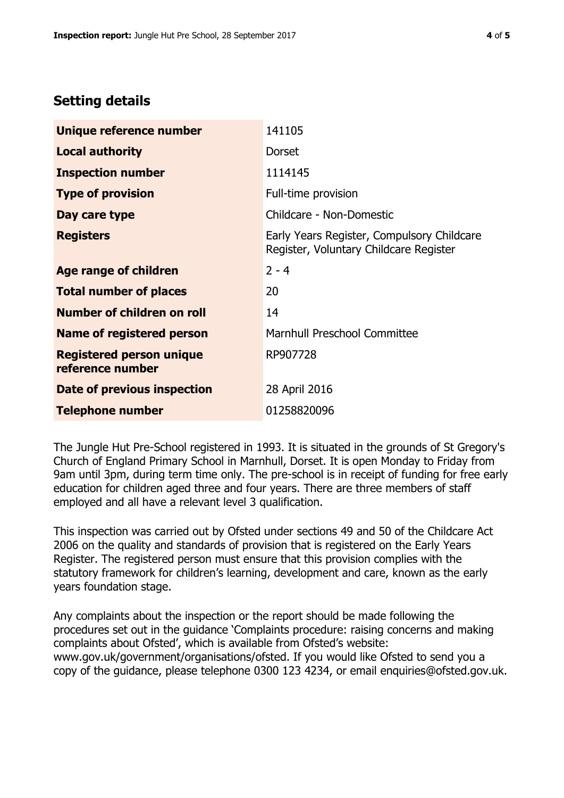# **Setting details**

| Unique reference number                             | 141105                                                                               |
|-----------------------------------------------------|--------------------------------------------------------------------------------------|
| <b>Local authority</b>                              | <b>Dorset</b>                                                                        |
| <b>Inspection number</b>                            | 1114145                                                                              |
| <b>Type of provision</b>                            | Full-time provision                                                                  |
| Day care type                                       | Childcare - Non-Domestic                                                             |
| <b>Registers</b>                                    | Early Years Register, Compulsory Childcare<br>Register, Voluntary Childcare Register |
| Age range of children                               | $2 - 4$                                                                              |
| <b>Total number of places</b>                       | 20                                                                                   |
| Number of children on roll                          | 14                                                                                   |
| <b>Name of registered person</b>                    | Marnhull Preschool Committee                                                         |
| <b>Registered person unique</b><br>reference number | RP907728                                                                             |
| Date of previous inspection                         | 28 April 2016                                                                        |
| <b>Telephone number</b>                             | 01258820096                                                                          |

The Jungle Hut Pre-School registered in 1993. It is situated in the grounds of St Gregory's Church of England Primary School in Marnhull, Dorset. It is open Monday to Friday from 9am until 3pm, during term time only. The pre-school is in receipt of funding for free early education for children aged three and four years. There are three members of staff employed and all have a relevant level 3 qualification.

This inspection was carried out by Ofsted under sections 49 and 50 of the Childcare Act 2006 on the quality and standards of provision that is registered on the Early Years Register. The registered person must ensure that this provision complies with the statutory framework for children's learning, development and care, known as the early years foundation stage.

Any complaints about the inspection or the report should be made following the procedures set out in the guidance 'Complaints procedure: raising concerns and making complaints about Ofsted', which is available from Ofsted's website: www.gov.uk/government/organisations/ofsted. If you would like Ofsted to send you a copy of the guidance, please telephone 0300 123 4234, or email enquiries@ofsted.gov.uk.